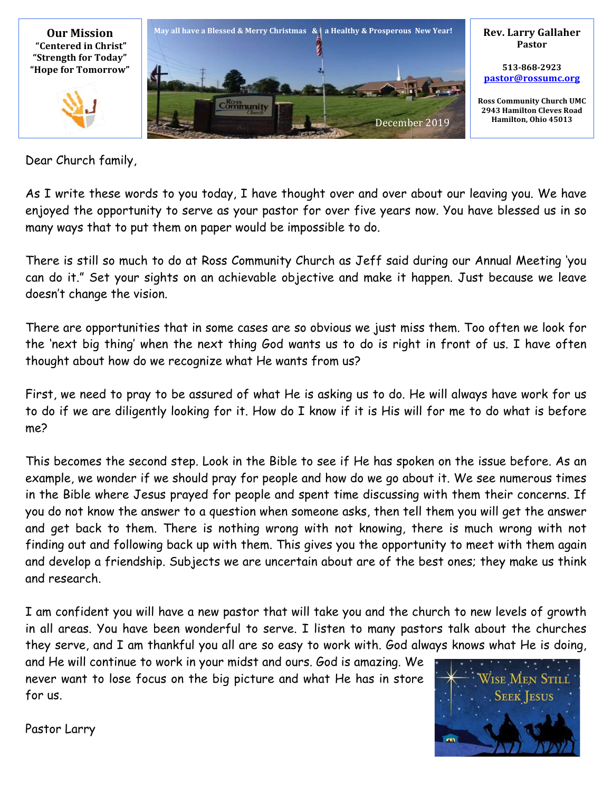

Dear Church family,

As I write these words to you today, I have thought over and over about our leaving you. We have enjoyed the opportunity to serve as your pastor for over five years now. You have blessed us in so many ways that to put them on paper would be impossible to do.

There is still so much to do at Ross Community Church as Jeff said during our Annual Meeting 'you can do it." Set your sights on an achievable objective and make it happen. Just because we leave doesn't change the vision.

There are opportunities that in some cases are so obvious we just miss them. Too often we look for the 'next big thing' when the next thing God wants us to do is right in front of us. I have often thought about how do we recognize what He wants from us?

First, we need to pray to be assured of what He is asking us to do. He will always have work for us to do if we are diligently looking for it. How do I know if it is His will for me to do what is before me?

This becomes the second step. Look in the Bible to see if He has spoken on the issue before. As an example, we wonder if we should pray for people and how do we go about it. We see numerous times in the Bible where Jesus prayed for people and spent time discussing with them their concerns. If you do not know the answer to a question when someone asks, then tell them you will get the answer and get back to them. There is nothing wrong with not knowing, there is much wrong with not finding out and following back up with them. This gives you the opportunity to meet with them again and develop a friendship. Subjects we are uncertain about are of the best ones; they make us think and research.

I am confident you will have a new pastor that will take you and the church to new levels of growth in all areas. You have been wonderful to serve. I listen to many pastors talk about the churches they serve, and I am thankful you all are so easy to work with. God always knows what He is doing,

and He will continue to work in your midst and ours. God is amazing. We never want to lose focus on the big picture and what He has in store for us.



Pastor Larry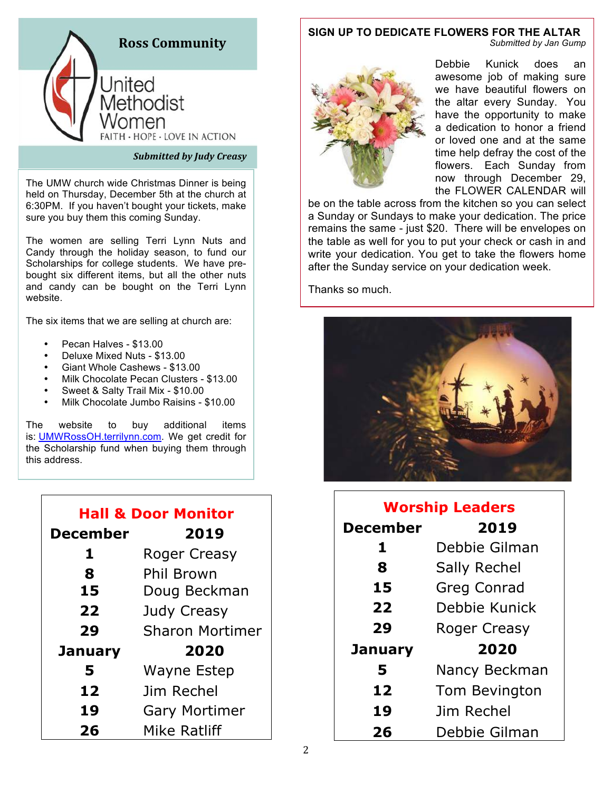

#### **Submitted by Judy Creasy**

The UMW church wide Christmas Dinner is being held on Thursday, December 5th at the church at 6:30PM. If you haven't bought your tickets, make sure you buy them this coming Sunday.

The women are selling Terri Lynn Nuts and Candy through the holiday season, to fund our Scholarships for college students. We have prebought six different items, but all the other nuts and candy can be bought on the Terri Lynn website.

The six items that we are selling at church are:

- Pecan Halves \$13.00
- Deluxe Mixed Nuts \$13.00
- Giant Whole Cashews \$13.00
- Milk Chocolate Pecan Clusters \$13.00
- Sweet & Salty Trail Mix \$10.00
- Milk Chocolate Jumbo Raisins \$10.00

The website to buy additional items is: UMWRossOH.terrilynn.com. We get credit for the Scholarship fund when buying them through this address.

| <b>Hall &amp; Door Monitor</b> |                        |
|--------------------------------|------------------------|
| <b>December</b>                | 2019                   |
| 1                              | Roger Creasy           |
| 8                              | Phil Brown             |
| 15                             | Doug Beckman           |
| 22                             | Judy Creasy            |
| 29                             | <b>Sharon Mortimer</b> |
| January                        | 2020                   |
| 5                              | <b>Wayne Estep</b>     |
| 12                             | Jim Rechel             |
| 19                             | <b>Gary Mortimer</b>   |
| 26                             | Mike Ratliff           |

#### **SIGN UP TO DEDICATE FLOWERS FOR THE ALTAR** *Submitted by Jan Gump*



Debbie Kunick does an awesome job of making sure we have beautiful flowers on the altar every Sunday. You have the opportunity to make a dedication to honor a friend or loved one and at the same time help defray the cost of the flowers. Each Sunday from now through December 29, the FLOWER CALENDAR will

be on the table across from the kitchen so you can select a Sunday or Sundays to make your dedication. The price remains the same - just \$20. There will be envelopes on the table as well for you to put your check or cash in and write your dedication. You get to take the flowers home after the Sunday service on your dedication week.

Thanks so much.



| <b>Worship Leaders</b> |                     |
|------------------------|---------------------|
| <b>December</b>        | 2019                |
| 1                      | Debbie Gilman       |
| 8                      | <b>Sally Rechel</b> |
| 15                     | <b>Greg Conrad</b>  |
| 22                     | Debbie Kunick       |
| 29                     | <b>Roger Creasy</b> |
| January                | 2020                |
| 5                      | Nancy Beckman       |
| 12                     | Tom Bevington       |
| 19                     | Jim Rechel          |
| 26                     | Debbie Gilman       |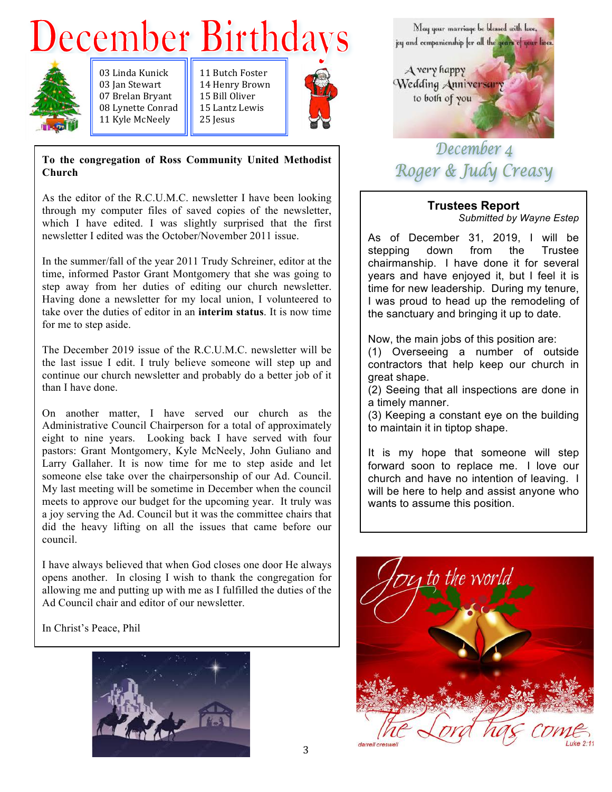# **December Birthdays**



03 Linda Kunick 03 Ian Stewart 07 Brelan Bryant 08 Lynette Conrad 11 Kyle McNeely

11 Butch Foster 14 Henry Brown 15 Bill Oliver 15 Lantz Lewis 25 Iesus



#### **To the congregation of Ross Community United Methodist Church**

As the editor of the R.C.U.M.C. newsletter I have been looking through my computer files of saved copies of the newsletter, which I have edited. I was slightly surprised that the first newsletter I edited was the October/November 2011 issue.

In the summer/fall of the year 2011 Trudy Schreiner, editor at the time, informed Pastor Grant Montgomery that she was going to step away from her duties of editing our church newsletter. Having done a newsletter for my local union, I volunteered to take over the duties of editor in an **interim status**. It is now time for me to step aside.

The December 2019 issue of the R.C.U.M.C. newsletter will be the last issue I edit. I truly believe someone will step up and continue our church newsletter and probably do a better job of it than I have done.

On another matter, I have served our church as the Administrative Council Chairperson for a total of approximately eight to nine years. Looking back I have served with four pastors: Grant Montgomery, Kyle McNeely, John Guliano and Larry Gallaher. It is now time for me to step aside and let someone else take over the chairpersonship of our Ad. Council. My last meeting will be sometime in December when the council meets to approve our budget for the upcoming year. It truly was a joy serving the Ad. Council but it was the committee chairs that did the heavy lifting on all the issues that came before our council.

I have always believed that when God closes one door He always opens another. In closing I wish to thank the congregation for allowing me and putting up with me as I fulfilled the duties of the Ad Council chair and editor of our newsletter.

In Christ's Peace, Phil





# December 4 Roger & Judy Creasy

## **Trustees Report**

*Submitted by Wayne Estep*

As of December 31, 2019, I will be stepping down from the Trustee chairmanship. I have done it for several years and have enjoyed it, but I feel it is time for new leadership. During my tenure, I was proud to head up the remodeling of the sanctuary and bringing it up to date.

Now, the main jobs of this position are:

(1) Overseeing a number of outside contractors that help keep our church in great shape.

(2) Seeing that all inspections are done in a timely manner.

(3) Keeping a constant eye on the building to maintain it in tiptop shape.

It is my hope that someone will step forward soon to replace me. I love our church and have no intention of leaving. I will be here to help and assist anyone who wants to assume this position.